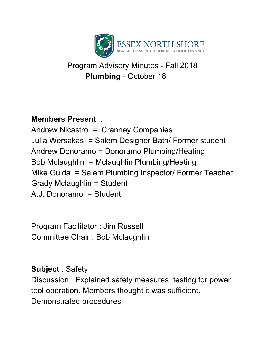

## Program Advisory Minutes - Fall 2018 **Plumbing** - October 18

## **Members Present** :

Andrew Nicastro = Cranney Companies Julia Wersakas = Salem Designer Bath/ Former student Andrew Donoramo = Donoramo Plumbing/Heating Bob Mclaughlin = Mclaughlin Plumbing/Heating Mike Guida = Salem Plumbing Inspector/ Former Teacher Grady Mclaughlin = Student A.J. Donoramo = Student

Program Facilitator : Jim Russell Committee Chair : Bob Mclaughlin

**Subject** : Safety Discussion : Explained safety measures, testing for power tool operation. Members thought it was sufficient. Demonstrated procedures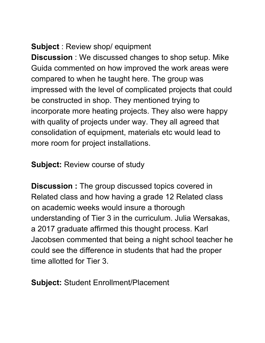## **Subject** : Review shop/ equipment

**Discussion** : We discussed changes to shop setup. Mike Guida commented on how improved the work areas were compared to when he taught here. The group was impressed with the level of complicated projects that could be constructed in shop. They mentioned trying to incorporate more heating projects. They also were happy with quality of projects under way. They all agreed that consolidation of equipment, materials etc would lead to more room for project installations.

**Subject:** Review course of study

**Discussion :** The group discussed topics covered in Related class and how having a grade 12 Related class on academic weeks would insure a thorough understanding of Tier 3 in the curriculum. Julia Wersakas, a 2017 graduate affirmed this thought process. Karl Jacobsen commented that being a night school teacher he could see the difference in students that had the proper time allotted for Tier 3.

**Subject:** Student Enrollment/Placement